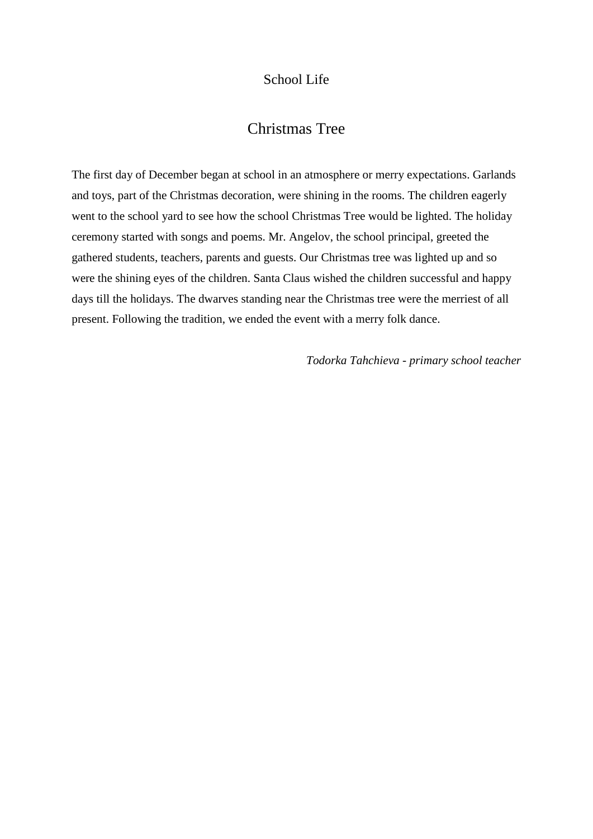## School Life

## Christmas Tree

The first day of December began at school in an atmosphere or merry expectations. Garlands and toys, part of the Christmas decoration, were shining in the rooms. The children eagerly went to the school yard to see how the school Christmas Tree would be lighted. The holiday ceremony started with songs and poems. Mr. Angelov, the school principal, greeted the gathered students, teachers, parents and guests. Our Christmas tree was lighted up and so were the shining eyes of the children. Santa Claus wished the children successful and happy days till the holidays. The dwarves standing near the Christmas tree were the merriest of all present. Following the tradition, we ended the event with a merry folk dance.

*Todorka Tahchieva - primary school teacher*